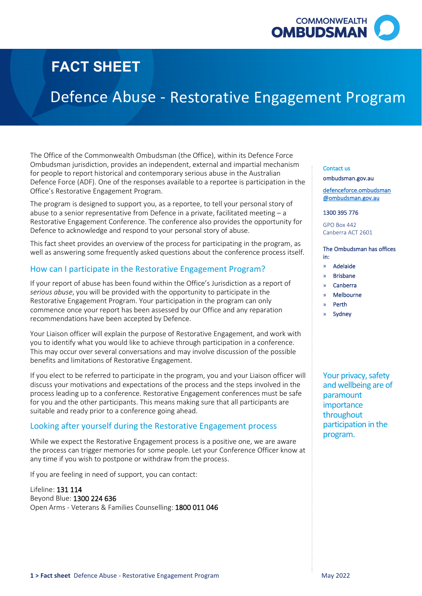

# **FACT SHEET**

# Defence Abuse -

 Ombudsman jurisdiction, provides an independent, external and impartial mechanism The Office of the Commonwealth Ombudsman (the Office), within its Defence Force for people to report historical and contemporary serious abuse in the Australian Defence Force (ADF). One of the responses available to a reportee is participation in the Office's Restorative Engagement Program. **Restorative Engagement Program**<br>
In the office), within its befence force<br>
notent, exercal and impartial mechanism<br>
may serious abuse in the Australian<br>
may serious abuse in the Australian<br>
valiable to a reportee is parti

 The program is designed to support you, as a reportee, to tell your personal story of abuse to a senior representative from Defence in a private, facilitated meeting – a Restorative Engagement Conference. The conference also provides the opportunity for Defence to acknowledge and respond to your personal story of abuse.

This fact sheet provides an overview of the process for participating in the program, as well as answering some frequently asked questions about the conference process itself.

## How can I participate in the Restorative Engagement Program?

 If your report of abuse has been found within the Office's Jurisdiction as a report of Restorative Engagement Program. Your participation in the program can only commence once your report has been assessed by our Office and any reparation *serious abuse*, you will be provided with the opportunity to participate in the recommendations have been accepted by Defence.

 Your Liaison officer will explain the purpose of Restorative Engagement, and work with benefits and limitations of Restorative Engagement. you to identify what you would like to achieve through participation in a conference. This may occur over several conversations and may involve discussion of the possible

benefits and limitations of Restorative Engagement.<br>If you elect to be referred to participate in the program, you and your Liaison officer will discuss your motivations and expectations of the process and the steps involved in the process leading up to a conference. Restorative Engagement conferences must be safe suitable and ready prior to a conference going ahead. for you and the other participants. This means making sure that all participants are

## Looking after yourself during the Restorative Engagement process

 the process can trigger memories for some people. Let your Conference Officer know at any time if you wish to postpone or withdraw from the process. While we expect the Restorative Engagement process is a positive one, we are aware

If you are feeling in need of support, you can contact:

Lifeline: 131 114 Beyond Blue: 1300 224 636 Open Arms - Veterans & Families Counselling: 1800 011 046

#### Contact us

ombudsman.gov.au

defenceforce.ombudsman @ombudsman.gov.au

1300 395 776

GPO Box 442 Canberra ACT 2601

#### The Ombudsman has offices in:

- » Adelaide
- » Brisbane
- » Canberra
- » Melbourne
- » Perth
- **Sydney**

program. Your privacy, safety and wellbeing are of paramount importance throughout participation in the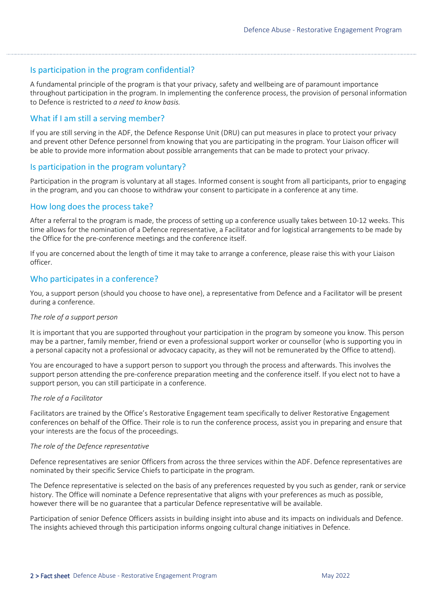## Is participation in the program confidential?

 A fundamental principle of the program is that your privacy, safety and wellbeing are of paramount importance throughout participation in the program. In implementing the conference process, the provision of personal information to Defence is restricted to *a need to know basis.* 

## What if I am still a serving member?

 If you are still serving in the ADF, the Defence Response Unit (DRU) can put measures in place to protect your privacy be able to provide more information about possible arrangements that can be made to protect your privacy. and prevent other Defence personnel from knowing that you are participating in the program. Your Liaison officer will

## Is participation in the program voluntary?

 Participation in the program is voluntary at all stages. Informed consent is sought from all participants, prior to engaging in the program, and you can choose to withdraw your consent to participate in a conference at any time.

### How long does the process take?

 After a referral to the program is made, the process of setting up a conference usually takes between 10-12 weeks. This time allows for the nomination of a Defence representative, a Facilitator and for logistical arrangements to be made by the Office for the pre-conference meetings and the conference itself.

 If you are concerned about the length of time it may take to arrange a conference, please raise this with your Liaison officer.

## Who participates in a conference?

You, a support person (should you choose to have one), a representative from Defence and a Facilitator will be present during a conference.

#### *The role of a support person*

 It is important that you are supported throughout your participation in the program by someone you know. This person may be a partner, family member, friend or even a professional support worker or counsellor (who is supporting you in a personal capacity not a professional or advocacy capacity, as they will not be remunerated by the Office to attend).

You are encouraged to have a support person to support you through the process and afterwards. This involves the support person attending the pre-conference preparation meeting and the conference itself. If you elect not to have a support person, you can still participate in a conference.

#### *The role of a Facilitator*

 your interests are the focus of the proceedings. Facilitators are trained by the Office's Restorative Engagement team specifically to deliver Restorative Engagement conferences on behalf of the Office. Their role is to run the conference process, assist you in preparing and ensure that

#### *The role of the Defence representative*

Defence representatives are senior Officers from across the three services within the ADF. Defence representatives are nominated by their specific Service Chiefs to participate in the program.

 The Defence representative is selected on the basis of any preferences requested by you such as gender, rank or service however there will be no guarantee that a particular Defence representative will be available. history. The Office will nominate a Defence representative that aligns with your preferences as much as possible,

Participation of senior Defence Officers assists in building insight into abuse and its impacts on individuals and Defence. The insights achieved through this participation informs ongoing cultural change initiatives in Defence.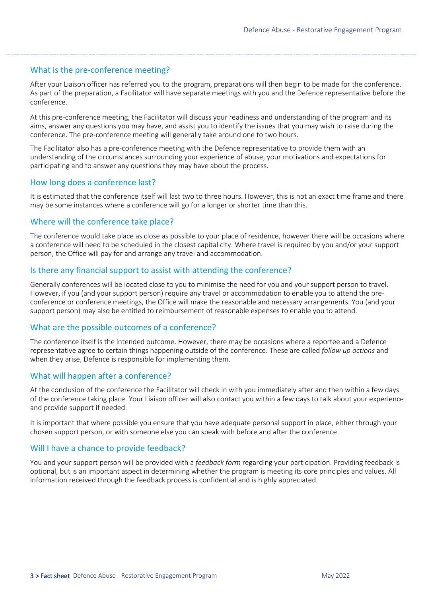## What is the pre-conference meeting?

 After your Liaison officer has referred you to the program, preparations will then begin to be made for the conference. As part of the preparation, a Facilitator will have separate meetings with you and the Defence representative before the conference.

 At this pre-conference meeting, the Facilitator will discuss your readiness and understanding of the program and its aims, answer any questions you may have, and assist you to identify the issues that you may wish to raise during the conference. The pre-conference meeting will generally take around one to two hours.

 understanding of the circumstances surrounding your experience of abuse, your motivations and expectations for The Facilitator also has a pre-conference meeting with the Defence representative to provide them with an participating and to answer any questions they may have about the process.

## How long does a conference last?

 It is estimated that the conference itself will last two to three hours. However, this is not an exact time frame and there may be some instances where a conference will go for a longer or shorter time than this.

## Where will the conference take place?

The conference would take place as close as possible to your place of residence, however there will be occasions where a conference will need to be scheduled in the closest capital city. Where travel is required by you and/or your support person, the Office will pay for and arrange any travel and accommodation.

## Is there any financial support to assist with attending the conference?

 Generally conferences will be located close to you to minimise the need for you and your support person to travel. However, if you (and your support person) require any travel or accommodation to enable you to attend the preconference or conference meetings, the Office will make the reasonable and necessary arrangements. You (and your support person) may also be entitled to reimbursement of reasonable expenses to enable you to attend.

## What are the possible outcomes of a conference?

The conference itself is the intended outcome. However, there may be occasions where a reportee and a Defence representative agree to certain things happening outside of the conference. These are called *follow up actions* and when they arise, Defence is responsible for implementing them.

## What will happen after a conference?

 At the conclusion of the conference the Facilitator will check in with you immediately after and then within a few days of the conference taking place. Your Liaison officer will also contact you within a few days to talk about your experience and provide support if needed.

 It is important that where possible you ensure that you have adequate personal support in place, either through your chosen support person, or with someone else you can speak with before and after the conference.

## Will I have a chance to provide feedback?

 optional, but is an important aspect in determining whether the program is meeting its core principles and values. All information received through the feedback process is confidential and is highly appreciated. You and your support person will be provided with a *feedback form* regarding your participation. Providing feedback is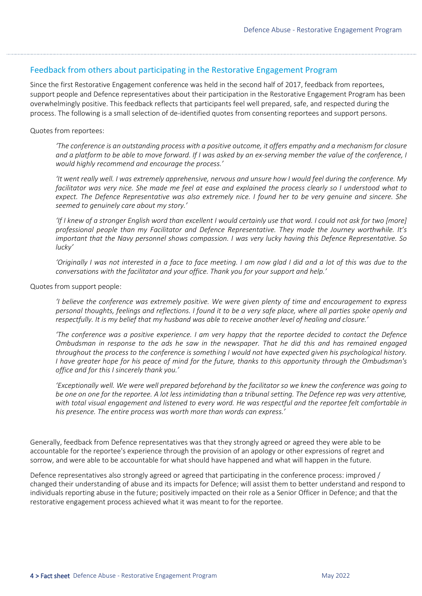## Feedback from others about participating in the Restorative Engagement Program

 Since the first Restorative Engagement conference was held in the second half of 2017, feedback from reportees, overwhelmingly positive. This feedback reflects that participants feel well prepared, safe, and respected during the process. The following is a small selection of de-identified quotes from consenting reportees and support persons. support people and Defence representatives about their participation in the Restorative Engagement Program has been

### Quotes from reportees:

 *'The conference is an outstanding process with a positive outcome, it offers empathy and a mechanism for closure and a platform to be able to move forward. If I was asked by an ex-serving member the value of the conference, I would highly recommend and encourage the process.'* 

 *facilitator was very nice. She made me feel at ease and explained the process clearly so I understood what to expect. The Defence Representative was also extremely nice. I found her to be very genuine and sincere. She 'It went really well. I was extremely apprehensive, nervous and unsure how I would feel during the conference. My seemed to genuinely care about my story.'* 

 *'If I knew of a stronger English word than excellent I would certainly use that word. I could not ask for two [more] professional people than my Facilitator and Defence Representative. They made the Journey worthwhile. It's important that the Navy personnel shows compassion. I was very lucky having this Defence Representative. So*  lucky'

lucky'<br>'Originally I was not interested in a face to face meeting. I am now glad I did and a lot of this was due to the  *conversations with the facilitator and your office. Thank you for your support and help.'* 

Quotes from support people:

 *'I believe the conference was extremely positive. We were given plenty of time and encouragement to express personal thoughts, feelings and reflections. I found it to be a very safe place, where all parties spoke openly and respectfully. It is my belief that my husband was able to receive another level of healing and closure.'* 

 *'The conference was a positive experience. I am very happy that the reportee decided to contact the Defence Ombudsman in response to the ads he saw in the newspaper. That he did this and has remained engaged throughout the process to the conference is something I would not have expected given his psychological history. I have greater hope for his peace of mind for the future, thanks to this opportunity through the Ombudsman's office and for this I sincerely thank you.'* 

 *'Exceptionally well. We were well prepared beforehand by the facilitator so we knew the conference was going to*  be one on one for the reportee. A lot less intimidating than a tribunal setting. The Defence rep was very attentive, with total visual engagement and listened to every word. He was respectful and the reportee felt comfortable in  *his presence. The entire process was worth more than words can express.'* 

 Generally, feedback from Defence representatives was that they strongly agreed or agreed they were able to be accountable for the reportee's experience through the provision of an apology or other expressions of regret and sorrow, and were able to be accountable for what should have happened and what will happen in the future.

 individuals reporting abuse in the future; positively impacted on their role as a Senior Officer in Defence; and that the restorative engagement process achieved what it was meant to for the reportee. Defence representatives also strongly agreed or agreed that participating in the conference process: improved / changed their understanding of abuse and its impacts for Defence; will assist them to better understand and respond to